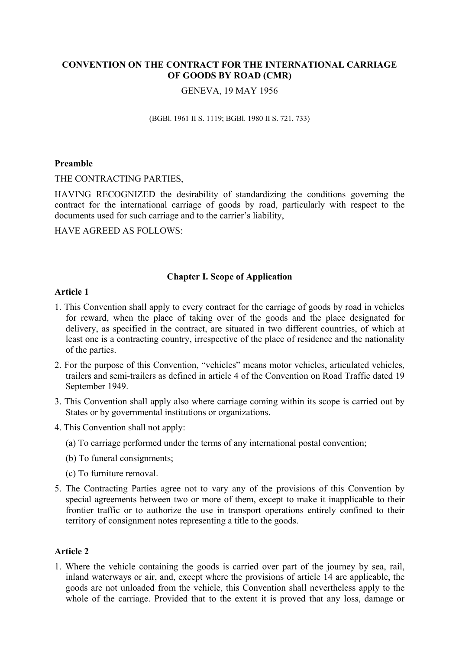# **CONVENTION ON THE CONTRACT FOR THE INTERNATIONAL CARRIAGE OF GOODS BY ROAD (CMR)**

#### GENEVA, 19 MAY 1956

(BGBl. 1961 II S. 1119; BGBl. 1980 II S. 721, 733)

#### **Preamble**

THE CONTRACTING PARTIES,

HAVING RECOGNIZED the desirability of standardizing the conditions governing the contract for the international carriage of goods by road, particularly with respect to the documents used for such carriage and to the carrier's liability,

HAVE AGREED AS FOLLOWS:

#### **Chapter I. Scope of Application**

### **Article 1**

- 1. This Convention shall apply to every contract for the carriage of goods by road in vehicles for reward, when the place of taking over of the goods and the place designated for delivery, as specified in the contract, are situated in two different countries, of which at least one is a contracting country, irrespective of the place of residence and the nationality of the parties.
- 2. For the purpose of this Convention, "vehicles" means motor vehicles, articulated vehicles, trailers and semi-trailers as defined in article 4 of the Convention on Road Traffic dated 19 September 1949.
- 3. This Convention shall apply also where carriage coming within its scope is carried out by States or by governmental institutions or organizations.
- 4. This Convention shall not apply:
	- (a) To carriage performed under the terms of any international postal convention;
	- (b) To funeral consignments;
	- (c) To furniture removal.
- 5. The Contracting Parties agree not to vary any of the provisions of this Convention by special agreements between two or more of them, except to make it inapplicable to their frontier traffic or to authorize the use in transport operations entirely confined to their territory of consignment notes representing a title to the goods.

#### **Article 2**

1. Where the vehicle containing the goods is carried over part of the journey by sea, rail, inland waterways or air, and, except where the provisions of article 14 are applicable, the goods are not unloaded from the vehicle, this Convention shall nevertheless apply to the whole of the carriage. Provided that to the extent it is proved that any loss, damage or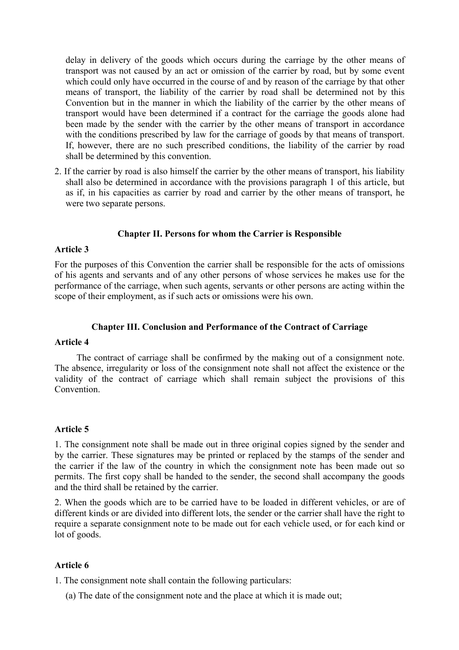delay in delivery of the goods which occurs during the carriage by the other means of transport was not caused by an act or omission of the carrier by road, but by some event which could only have occurred in the course of and by reason of the carriage by that other means of transport, the liability of the carrier by road shall be determined not by this Convention but in the manner in which the liability of the carrier by the other means of transport would have been determined if a contract for the carriage the goods alone had been made by the sender with the carrier by the other means of transport in accordance with the conditions prescribed by law for the carriage of goods by that means of transport. If, however, there are no such prescribed conditions, the liability of the carrier by road shall be determined by this convention.

2. If the carrier by road is also himself the carrier by the other means of transport, his liability shall also be determined in accordance with the provisions paragraph 1 of this article, but as if, in his capacities as carrier by road and carrier by the other means of transport, he were two separate persons.

### **Chapter II. Persons for whom the Carrier is Responsible**

#### **Article 3**

For the purposes of this Convention the carrier shall be responsible for the acts of omissions of his agents and servants and of any other persons of whose services he makes use for the performance of the carriage, when such agents, servants or other persons are acting within the scope of their employment, as if such acts or omissions were his own.

### **Chapter III. Conclusion and Performance of the Contract of Carriage**

#### **Article 4**

The contract of carriage shall be confirmed by the making out of a consignment note. The absence, irregularity or loss of the consignment note shall not affect the existence or the validity of the contract of carriage which shall remain subject the provisions of this Convention.

#### **Article 5**

1. The consignment note shall be made out in three original copies signed by the sender and by the carrier. These signatures may be printed or replaced by the stamps of the sender and the carrier if the law of the country in which the consignment note has been made out so permits. The first copy shall be handed to the sender, the second shall accompany the goods and the third shall be retained by the carrier.

2. When the goods which are to be carried have to be loaded in different vehicles, or are of different kinds or are divided into different lots, the sender or the carrier shall have the right to require a separate consignment note to be made out for each vehicle used, or for each kind or lot of goods.

#### **Article 6**

1. The consignment note shall contain the following particulars:

(a) The date of the consignment note and the place at which it is made out;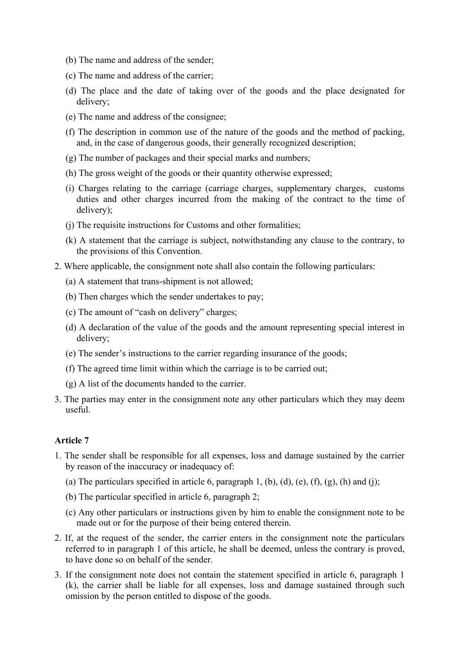- (b) The name and address of the sender;
- (c) The name and address of the carrier;
- (d) The place and the date of taking over of the goods and the place designated for delivery;
- (e) The name and address of the consignee;
- (f) The description in common use of the nature of the goods and the method of packing, and, in the case of dangerous goods, their generally recognized description;
- (g) The number of packages and their special marks and numbers;
- (h) The gross weight of the goods or their quantity otherwise expressed;
- (i) Charges relating to the carriage (carriage charges, supplementary charges, customs duties and other charges incurred from the making of the contract to the time of delivery);
- (j) The requisite instructions for Customs and other formalities;
- (k) A statement that the carriage is subject, notwithstanding any clause to the contrary, to the provisions of this Convention.
- 2. Where applicable, the consignment note shall also contain the following particulars:
	- (a) A statement that trans-shipment is not allowed;
	- (b) Then charges which the sender undertakes to pay;
	- (c) The amount of "cash on delivery" charges;
	- (d) A declaration of the value of the goods and the amount representing special interest in delivery;
	- (e) The sender's instructions to the carrier regarding insurance of the goods;
	- (f) The agreed time limit within which the carriage is to be carried out;
	- (g) A list of the documents handed to the carrier.
- 3. The parties may enter in the consignment note any other particulars which they may deem useful.

- 1. The sender shall be responsible for all expenses, loss and damage sustained by the carrier by reason of the inaccuracy or inadequacy of:
	- (a) The particulars specified in article 6, paragraph 1, (b), (d), (e), (f), (g), (h) and (j);
	- (b) The particular specified in article 6, paragraph 2;
	- (c) Any other particulars or instructions given by him to enable the consignment note to be made out or for the purpose of their being entered therein.
- 2. If, at the request of the sender, the carrier enters in the consignment note the particulars referred to in paragraph 1 of this article, he shall be deemed, unless the contrary is proved, to have done so on behalf of the sender.
- 3. If the consignment note does not contain the statement specified in article 6, paragraph 1 (k), the carrier shall be liable for all expenses, loss and damage sustained through such omission by the person entitled to dispose of the goods.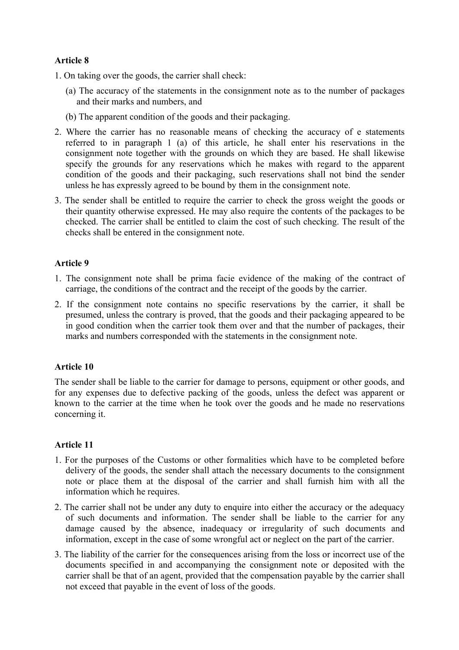- 1. On taking over the goods, the carrier shall check:
	- (a) The accuracy of the statements in the consignment note as to the number of packages and their marks and numbers, and
	- (b) The apparent condition of the goods and their packaging.
- 2. Where the carrier has no reasonable means of checking the accuracy of e statements referred to in paragraph 1 (a) of this article, he shall enter his reservations in the consignment note together with the grounds on which they are based. He shall likewise specify the grounds for any reservations which he makes with regard to the apparent condition of the goods and their packaging, such reservations shall not bind the sender unless he has expressly agreed to be bound by them in the consignment note.
- 3. The sender shall be entitled to require the carrier to check the gross weight the goods or their quantity otherwise expressed. He may also require the contents of the packages to be checked. The carrier shall be entitled to claim the cost of such checking. The result of the checks shall be entered in the consignment note.

# **Article 9**

- 1. The consignment note shall be prima facie evidence of the making of the contract of carriage, the conditions of the contract and the receipt of the goods by the carrier.
- 2. If the consignment note contains no specific reservations by the carrier, it shall be presumed, unless the contrary is proved, that the goods and their packaging appeared to be in good condition when the carrier took them over and that the number of packages, their marks and numbers corresponded with the statements in the consignment note.

# **Article 10**

The sender shall be liable to the carrier for damage to persons, equipment or other goods, and for any expenses due to defective packing of the goods, unless the defect was apparent or known to the carrier at the time when he took over the goods and he made no reservations concerning it.

- 1. For the purposes of the Customs or other formalities which have to be completed before delivery of the goods, the sender shall attach the necessary documents to the consignment note or place them at the disposal of the carrier and shall furnish him with all the information which he requires.
- 2. The carrier shall not be under any duty to enquire into either the accuracy or the adequacy of such documents and information. The sender shall be liable to the carrier for any damage caused by the absence, inadequacy or irregularity of such documents and information, except in the case of some wrongful act or neglect on the part of the carrier.
- 3. The liability of the carrier for the consequences arising from the loss or incorrect use of the documents specified in and accompanying the consignment note or deposited with the carrier shall be that of an agent, provided that the compensation payable by the carrier shall not exceed that payable in the event of loss of the goods.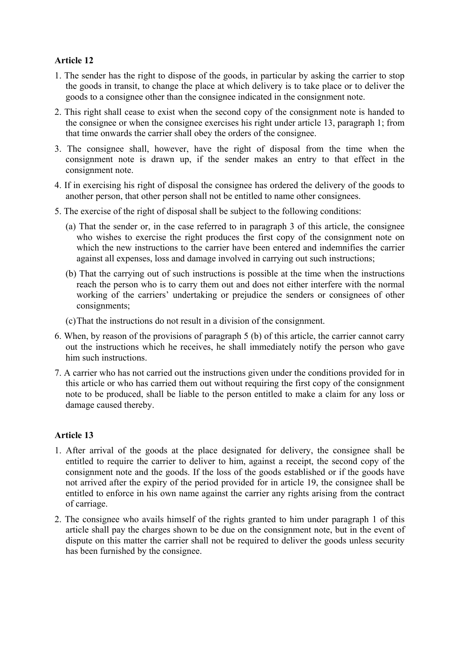- 1. The sender has the right to dispose of the goods, in particular by asking the carrier to stop the goods in transit, to change the place at which delivery is to take place or to deliver the goods to a consignee other than the consignee indicated in the consignment note.
- 2. This right shall cease to exist when the second copy of the consignment note is handed to the consignee or when the consignee exercises his right under article 13, paragraph 1; from that time onwards the carrier shall obey the orders of the consignee.
- 3. The consignee shall, however, have the right of disposal from the time when the consignment note is drawn up, if the sender makes an entry to that effect in the consignment note.
- 4. If in exercising his right of disposal the consignee has ordered the delivery of the goods to another person, that other person shall not be entitled to name other consignees.
- 5. The exercise of the right of disposal shall be subject to the following conditions:
	- (a) That the sender or, in the case referred to in paragraph 3 of this article, the consignee who wishes to exercise the right produces the first copy of the consignment note on which the new instructions to the carrier have been entered and indemnifies the carrier against all expenses, loss and damage involved in carrying out such instructions;
	- (b) That the carrying out of such instructions is possible at the time when the instructions reach the person who is to carry them out and does not either interfere with the normal working of the carriers' undertaking or prejudice the senders or consignees of other consignments;
	- (c)That the instructions do not result in a division of the consignment.
- 6. When, by reason of the provisions of paragraph 5 (b) of this article, the carrier cannot carry out the instructions which he receives, he shall immediately notify the person who gave him such instructions.
- 7. A carrier who has not carried out the instructions given under the conditions provided for in this article or who has carried them out without requiring the first copy of the consignment note to be produced, shall be liable to the person entitled to make a claim for any loss or damage caused thereby.

- 1. After arrival of the goods at the place designated for delivery, the consignee shall be entitled to require the carrier to deliver to him, against a receipt, the second copy of the consignment note and the goods. If the loss of the goods established or if the goods have not arrived after the expiry of the period provided for in article 19, the consignee shall be entitled to enforce in his own name against the carrier any rights arising from the contract of carriage.
- 2. The consignee who avails himself of the rights granted to him under paragraph 1 of this article shall pay the charges shown to be due on the consignment note, but in the event of dispute on this matter the carrier shall not be required to deliver the goods unless security has been furnished by the consignee.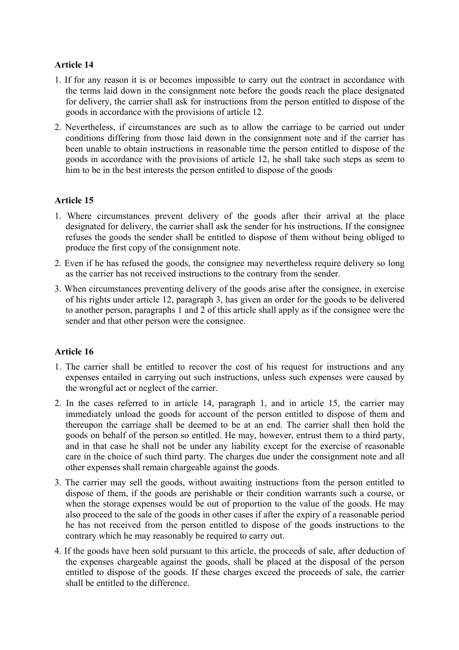- 1. If for any reason it is or becomes impossible to carry out the contract in accordance with the terms laid down in the consignment note before the goods reach the place designated for delivery, the carrier shall ask for instructions from the person entitled to dispose of the goods in accordance with the provisions of article 12.
- 2. Nevertheless, if circumstances are such as to allow the carriage to be carried out under conditions differing from those laid down in the consignment note and if the carrier has been unable to obtain instructions in reasonable time the person entitled to dispose of the goods in accordance with the provisions of article 12, he shall take such steps as seem to him to be in the best interests the person entitled to dispose of the goods

# **Article 15**

- 1. Where circumstances prevent delivery of the goods after their arrival at the place designated for delivery, the carrier shall ask the sender for his instructions. If the consignee refuses the goods the sender shall be entitled to dispose of them without being obliged to produce the first copy of the consignment note.
- 2. Even if he has refused the goods, the consignee may nevertheless require delivery so long as the carrier has not received instructions to the contrary from the sender.
- 3. When circumstances preventing delivery of the goods arise after the consignee, in exercise of his rights under article 12, paragraph 3, has given an order for the goods to be delivered to another person, paragraphs 1 and 2 of this article shall apply as if the consignee were the sender and that other person were the consignee.

- 1. The carrier shall be entitled to recover the cost of his request for instructions and any expenses entailed in carrying out such instructions, unless such expenses were caused by the wrongful act or neglect of the carrier.
- 2. In the cases referred to in article 14, paragraph 1, and in article 15, the carrier may immediately unload the goods for account of the person entitled to dispose of them and thereupon the carriage shall be deemed to be at an end. The carrier shall then hold the goods on behalf of the person so entitled. He may, however, entrust them to a third party, and in that case he shall not be under any liability except for the exercise of reasonable care in the choice of such third party. The charges due under the consignment note and all other expenses shall remain chargeable against the goods.
- 3. The carrier may sell the goods, without awaiting instructions from the person entitled to dispose of them, if the goods are perishable or their condition warrants such a course, or when the storage expenses would be out of proportion to the value of the goods. He may also proceed to the sale of the goods in other cases if after the expiry of a reasonable period he has not received from the person entitled to dispose of the goods instructions to the contrary which he may reasonably be required to carry out.
- 4. If the goods have been sold pursuant to this article, the proceeds of sale, after deduction of the expenses chargeable against the goods, shall be placed at the disposal of the person entitled to dispose of the goods. If these charges exceed the proceeds of sale, the carrier shall be entitled to the difference.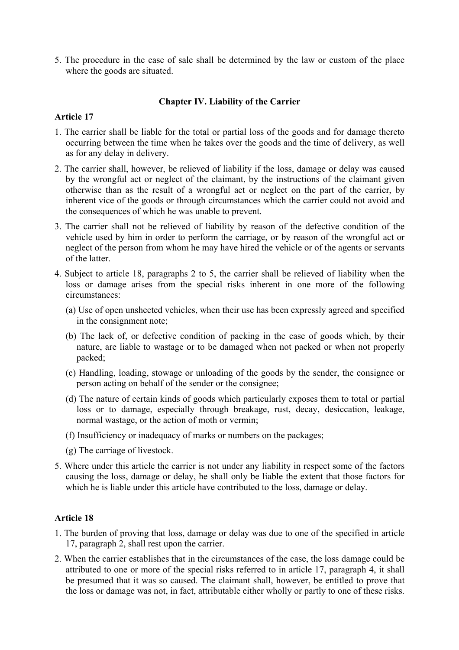5. The procedure in the case of sale shall be determined by the law or custom of the place where the goods are situated.

# **Chapter IV. Liability of the Carrier**

# **Article 17**

- 1. The carrier shall be liable for the total or partial loss of the goods and for damage thereto occurring between the time when he takes over the goods and the time of delivery, as well as for any delay in delivery.
- 2. The carrier shall, however, be relieved of liability if the loss, damage or delay was caused by the wrongful act or neglect of the claimant, by the instructions of the claimant given otherwise than as the result of a wrongful act or neglect on the part of the carrier, by inherent vice of the goods or through circumstances which the carrier could not avoid and the consequences of which he was unable to prevent.
- 3. The carrier shall not be relieved of liability by reason of the defective condition of the vehicle used by him in order to perform the carriage, or by reason of the wrongful act or neglect of the person from whom he may have hired the vehicle or of the agents or servants of the latter.
- 4. Subject to article 18, paragraphs 2 to 5, the carrier shall be relieved of liability when the loss or damage arises from the special risks inherent in one more of the following circumstances:
	- (a) Use of open unsheeted vehicles, when their use has been expressly agreed and specified in the consignment note;
	- (b) The lack of, or defective condition of packing in the case of goods which, by their nature, are liable to wastage or to be damaged when not packed or when not properly packed;
	- (c) Handling, loading, stowage or unloading of the goods by the sender, the consignee or person acting on behalf of the sender or the consignee;
	- (d) The nature of certain kinds of goods which particularly exposes them to total or partial loss or to damage, especially through breakage, rust, decay, desiccation, leakage, normal wastage, or the action of moth or vermin;
	- (f) Insufficiency or inadequacy of marks or numbers on the packages;
	- (g) The carriage of livestock.
- 5. Where under this article the carrier is not under any liability in respect some of the factors causing the loss, damage or delay, he shall only be liable the extent that those factors for which he is liable under this article have contributed to the loss, damage or delay.

- 1. The burden of proving that loss, damage or delay was due to one of the specified in article 17, paragraph 2, shall rest upon the carrier.
- 2. When the carrier establishes that in the circumstances of the case, the loss damage could be attributed to one or more of the special risks referred to in article 17, paragraph 4, it shall be presumed that it was so caused. The claimant shall, however, be entitled to prove that the loss or damage was not, in fact, attributable either wholly or partly to one of these risks.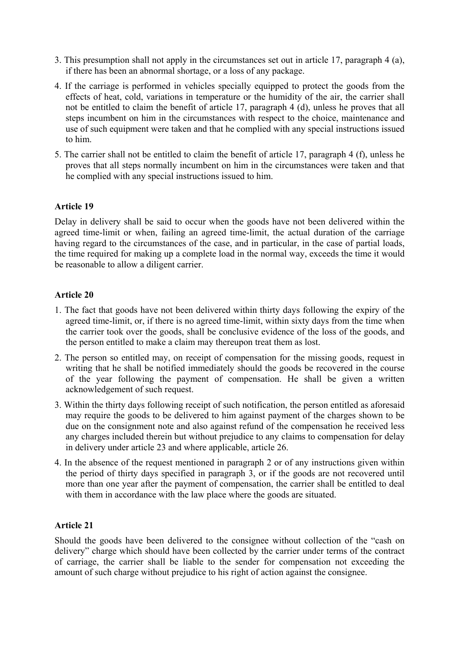- 3. This presumption shall not apply in the circumstances set out in article 17, paragraph 4 (a), if there has been an abnormal shortage, or a loss of any package.
- 4. If the carriage is performed in vehicles specially equipped to protect the goods from the effects of heat, cold, variations in temperature or the humidity of the air, the carrier shall not be entitled to claim the benefit of article 17, paragraph 4 (d), unless he proves that all steps incumbent on him in the circumstances with respect to the choice, maintenance and use of such equipment were taken and that he complied with any special instructions issued to him.
- 5. The carrier shall not be entitled to claim the benefit of article 17, paragraph 4 (f), unless he proves that all steps normally incumbent on him in the circumstances were taken and that he complied with any special instructions issued to him.

Delay in delivery shall be said to occur when the goods have not been delivered within the agreed time-limit or when, failing an agreed time-limit, the actual duration of the carriage having regard to the circumstances of the case, and in particular, in the case of partial loads, the time required for making up a complete load in the normal way, exceeds the time it would be reasonable to allow a diligent carrier.

# **Article 20**

- 1. The fact that goods have not been delivered within thirty days following the expiry of the agreed time-limit, or, if there is no agreed time-limit, within sixty days from the time when the carrier took over the goods, shall be conclusive evidence of the loss of the goods, and the person entitled to make a claim may thereupon treat them as lost.
- 2. The person so entitled may, on receipt of compensation for the missing goods, request in writing that he shall be notified immediately should the goods be recovered in the course of the year following the payment of compensation. He shall be given a written acknowledgement of such request.
- 3. Within the thirty days following receipt of such notification, the person entitled as aforesaid may require the goods to be delivered to him against payment of the charges shown to be due on the consignment note and also against refund of the compensation he received less any charges included therein but without prejudice to any claims to compensation for delay in delivery under article 23 and where applicable, article 26.
- 4. In the absence of the request mentioned in paragraph 2 or of any instructions given within the period of thirty days specified in paragraph 3, or if the goods are not recovered until more than one year after the payment of compensation, the carrier shall be entitled to deal with them in accordance with the law place where the goods are situated.

# **Article 21**

Should the goods have been delivered to the consignee without collection of the "cash on delivery" charge which should have been collected by the carrier under terms of the contract of carriage, the carrier shall be liable to the sender for compensation not exceeding the amount of such charge without prejudice to his right of action against the consignee.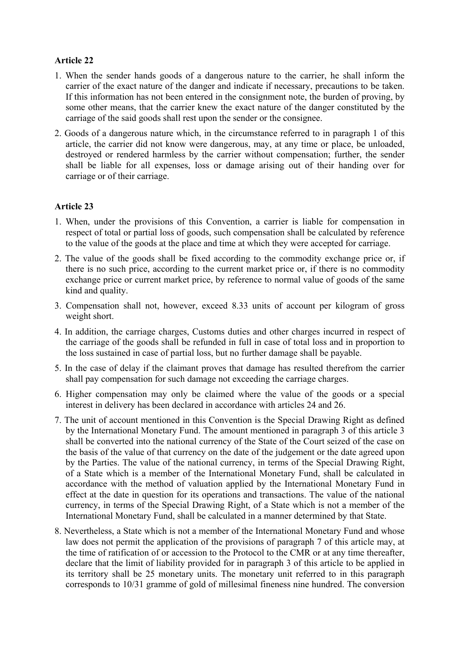- 1. When the sender hands goods of a dangerous nature to the carrier, he shall inform the carrier of the exact nature of the danger and indicate if necessary, precautions to be taken. If this information has not been entered in the consignment note, the burden of proving, by some other means, that the carrier knew the exact nature of the danger constituted by the carriage of the said goods shall rest upon the sender or the consignee.
- 2. Goods of a dangerous nature which, in the circumstance referred to in paragraph 1 of this article, the carrier did not know were dangerous, may, at any time or place, be unloaded, destroyed or rendered harmless by the carrier without compensation; further, the sender shall be liable for all expenses, loss or damage arising out of their handing over for carriage or of their carriage.

- 1. When, under the provisions of this Convention, a carrier is liable for compensation in respect of total or partial loss of goods, such compensation shall be calculated by reference to the value of the goods at the place and time at which they were accepted for carriage.
- 2. The value of the goods shall be fixed according to the commodity exchange price or, if there is no such price, according to the current market price or, if there is no commodity exchange price or current market price, by reference to normal value of goods of the same kind and quality.
- 3. Compensation shall not, however, exceed 8.33 units of account per kilogram of gross weight short.
- 4. In addition, the carriage charges, Customs duties and other charges incurred in respect of the carriage of the goods shall be refunded in full in case of total loss and in proportion to the loss sustained in case of partial loss, but no further damage shall be payable.
- 5. In the case of delay if the claimant proves that damage has resulted therefrom the carrier shall pay compensation for such damage not exceeding the carriage charges.
- 6. Higher compensation may only be claimed where the value of the goods or a special interest in delivery has been declared in accordance with articles 24 and 26.
- 7. The unit of account mentioned in this Convention is the Special Drawing Right as defined by the International Monetary Fund. The amount mentioned in paragraph 3 of this article 3 shall be converted into the national currency of the State of the Court seized of the case on the basis of the value of that currency on the date of the judgement or the date agreed upon by the Parties. The value of the national currency, in terms of the Special Drawing Right, of a State which is a member of the International Monetary Fund, shall be calculated in accordance with the method of valuation applied by the International Monetary Fund in effect at the date in question for its operations and transactions. The value of the national currency, in terms of the Special Drawing Right, of a State which is not a member of the International Monetary Fund, shall be calculated in a manner determined by that State.
- 8. Nevertheless, a State which is not a member of the International Monetary Fund and whose law does not permit the application of the provisions of paragraph 7 of this article may, at the time of ratification of or accession to the Protocol to the CMR or at any time thereafter, declare that the limit of liability provided for in paragraph 3 of this article to be applied in its territory shall be 25 monetary units. The monetary unit referred to in this paragraph corresponds to 10/31 gramme of gold of millesimal fineness nine hundred. The conversion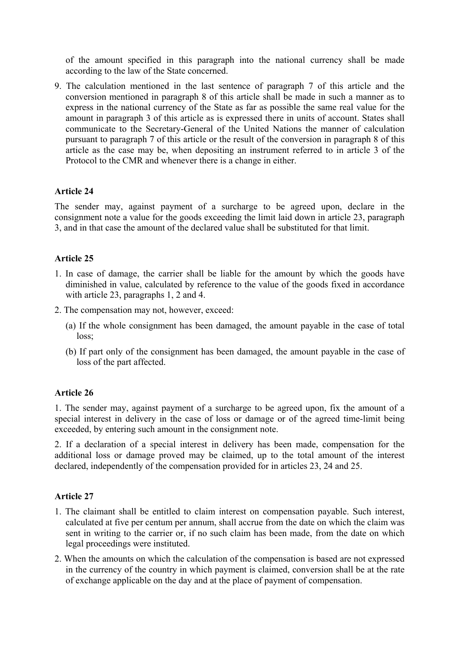of the amount specified in this paragraph into the national currency shall be made according to the law of the State concerned.

9. The calculation mentioned in the last sentence of paragraph 7 of this article and the conversion mentioned in paragraph 8 of this article shall be made in such a manner as to express in the national currency of the State as far as possible the same real value for the amount in paragraph 3 of this article as is expressed there in units of account. States shall communicate to the Secretary-General of the United Nations the manner of calculation pursuant to paragraph 7 of this article or the result of the conversion in paragraph 8 of this article as the case may be, when depositing an instrument referred to in article 3 of the Protocol to the CMR and whenever there is a change in either.

# **Article 24**

The sender may, against payment of a surcharge to be agreed upon, declare in the consignment note a value for the goods exceeding the limit laid down in article 23, paragraph 3, and in that case the amount of the declared value shall be substituted for that limit.

# **Article 25**

- 1. In case of damage, the carrier shall be liable for the amount by which the goods have diminished in value, calculated by reference to the value of the goods fixed in accordance with article 23, paragraphs 1, 2 and 4.
- 2. The compensation may not, however, exceed:
	- (a) If the whole consignment has been damaged, the amount payable in the case of total loss;
	- (b) If part only of the consignment has been damaged, the amount payable in the case of loss of the part affected.

# **Article 26**

1. The sender may, against payment of a surcharge to be agreed upon, fix the amount of a special interest in delivery in the case of loss or damage or of the agreed time-limit being exceeded, by entering such amount in the consignment note.

2. If a declaration of a special interest in delivery has been made, compensation for the additional loss or damage proved may be claimed, up to the total amount of the interest declared, independently of the compensation provided for in articles 23, 24 and 25.

- 1. The claimant shall be entitled to claim interest on compensation payable. Such interest, calculated at five per centum per annum, shall accrue from the date on which the claim was sent in writing to the carrier or, if no such claim has been made, from the date on which legal proceedings were instituted.
- 2. When the amounts on which the calculation of the compensation is based are not expressed in the currency of the country in which payment is claimed, conversion shall be at the rate of exchange applicable on the day and at the place of payment of compensation.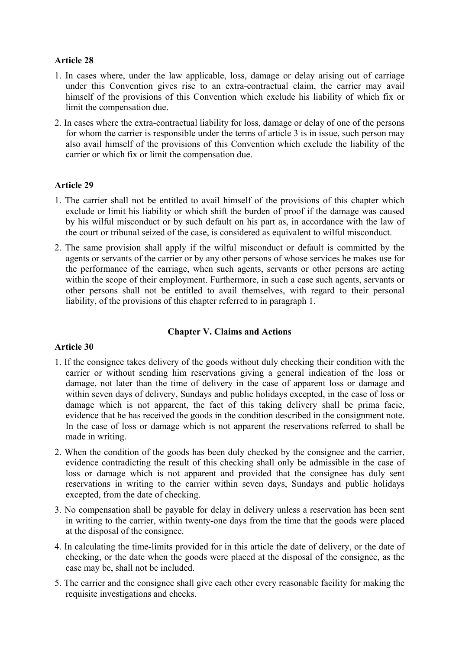- 1. In cases where, under the law applicable, loss, damage or delay arising out of carriage under this Convention gives rise to an extra-contractual claim, the carrier may avail himself of the provisions of this Convention which exclude his liability of which fix or limit the compensation due.
- 2. In cases where the extra-contractual liability for loss, damage or delay of one of the persons for whom the carrier is responsible under the terms of article 3 is in issue, such person may also avail himself of the provisions of this Convention which exclude the liability of the carrier or which fix or limit the compensation due.

# **Article 29**

- 1. The carrier shall not be entitled to avail himself of the provisions of this chapter which exclude or limit his liability or which shift the burden of proof if the damage was caused by his wilful misconduct or by such default on his part as, in accordance with the law of the court or tribunal seized of the case, is considered as equivalent to wilful misconduct.
- 2. The same provision shall apply if the wilful misconduct or default is committed by the agents or servants of the carrier or by any other persons of whose services he makes use for the performance of the carriage, when such agents, servants or other persons are acting within the scope of their employment. Furthermore, in such a case such agents, servants or other persons shall not be entitled to avail themselves, with regard to their personal liability, of the provisions of this chapter referred to in paragraph 1.

# **Chapter V. Claims and Actions**

- 1. If the consignee takes delivery of the goods without duly checking their condition with the carrier or without sending him reservations giving a general indication of the loss or damage, not later than the time of delivery in the case of apparent loss or damage and within seven days of delivery, Sundays and public holidays excepted, in the case of loss or damage which is not apparent, the fact of this taking delivery shall be prima facie, evidence that he has received the goods in the condition described in the consignment note. In the case of loss or damage which is not apparent the reservations referred to shall be made in writing.
- 2. When the condition of the goods has been duly checked by the consignee and the carrier, evidence contradicting the result of this checking shall only be admissible in the case of loss or damage which is not apparent and provided that the consignee has duly sent reservations in writing to the carrier within seven days, Sundays and public holidays excepted, from the date of checking.
- 3. No compensation shall be payable for delay in delivery unless a reservation has been sent in writing to the carrier, within twenty-one days from the time that the goods were placed at the disposal of the consignee.
- 4. In calculating the time-limits provided for in this article the date of delivery, or the date of checking, or the date when the goods were placed at the disposal of the consignee, as the case may be, shall not be included.
- 5. The carrier and the consignee shall give each other every reasonable facility for making the requisite investigations and checks.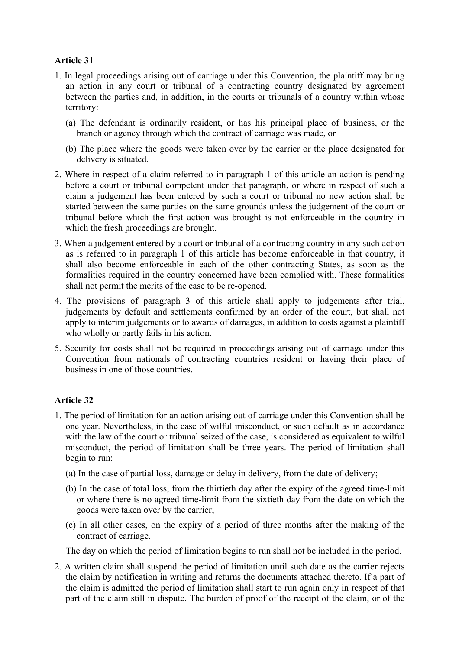- 1. In legal proceedings arising out of carriage under this Convention, the plaintiff may bring an action in any court or tribunal of a contracting country designated by agreement between the parties and, in addition, in the courts or tribunals of a country within whose territory:
	- (a) The defendant is ordinarily resident, or has his principal place of business, or the branch or agency through which the contract of carriage was made, or
	- (b) The place where the goods were taken over by the carrier or the place designated for delivery is situated.
- 2. Where in respect of a claim referred to in paragraph 1 of this article an action is pending before a court or tribunal competent under that paragraph, or where in respect of such a claim a judgement has been entered by such a court or tribunal no new action shall be started between the same parties on the same grounds unless the judgement of the court or tribunal before which the first action was brought is not enforceable in the country in which the fresh proceedings are brought.
- 3. When a judgement entered by a court or tribunal of a contracting country in any such action as is referred to in paragraph 1 of this article has become enforceable in that country, it shall also become enforceable in each of the other contracting States, as soon as the formalities required in the country concerned have been complied with. These formalities shall not permit the merits of the case to be re-opened.
- 4. The provisions of paragraph 3 of this article shall apply to judgements after trial, judgements by default and settlements confirmed by an order of the court, but shall not apply to interim judgements or to awards of damages, in addition to costs against a plaintiff who wholly or partly fails in his action.
- 5. Security for costs shall not be required in proceedings arising out of carriage under this Convention from nationals of contracting countries resident or having their place of business in one of those countries.

# **Article 32**

- 1. The period of limitation for an action arising out of carriage under this Convention shall be one year. Nevertheless, in the case of wilful misconduct, or such default as in accordance with the law of the court or tribunal seized of the case, is considered as equivalent to wilful misconduct, the period of limitation shall be three years. The period of limitation shall begin to run:
	- (a) In the case of partial loss, damage or delay in delivery, from the date of delivery;
	- (b) In the case of total loss, from the thirtieth day after the expiry of the agreed time-limit or where there is no agreed time-limit from the sixtieth day from the date on which the goods were taken over by the carrier;
	- (c) In all other cases, on the expiry of a period of three months after the making of the contract of carriage.

The day on which the period of limitation begins to run shall not be included in the period.

2. A written claim shall suspend the period of limitation until such date as the carrier rejects the claim by notification in writing and returns the documents attached thereto. If a part of the claim is admitted the period of limitation shall start to run again only in respect of that part of the claim still in dispute. The burden of proof of the receipt of the claim, or of the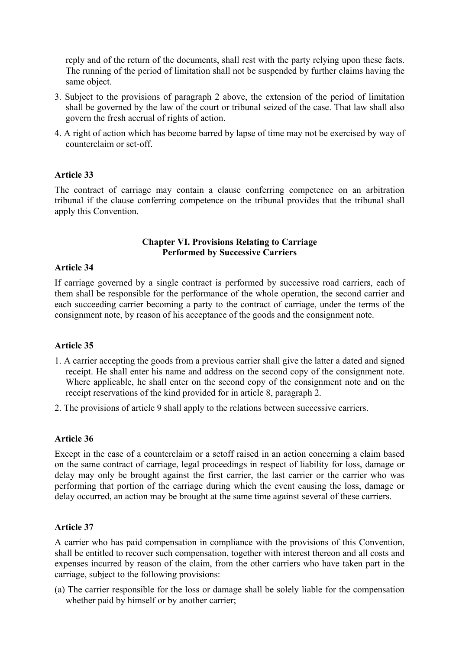reply and of the return of the documents, shall rest with the party relying upon these facts. The running of the period of limitation shall not be suspended by further claims having the same object.

- 3. Subject to the provisions of paragraph 2 above, the extension of the period of limitation shall be governed by the law of the court or tribunal seized of the case. That law shall also govern the fresh accrual of rights of action.
- 4. A right of action which has become barred by lapse of time may not be exercised by way of counterclaim or set-off.

# **Article 33**

The contract of carriage may contain a clause conferring competence on an arbitration tribunal if the clause conferring competence on the tribunal provides that the tribunal shall apply this Convention.

### **Chapter VI. Provisions Relating to Carriage Performed by Successive Carriers**

### **Article 34**

If carriage governed by a single contract is performed by successive road carriers, each of them shall be responsible for the performance of the whole operation, the second carrier and each succeeding carrier becoming a party to the contract of carriage, under the terms of the consignment note, by reason of his acceptance of the goods and the consignment note.

# **Article 35**

- 1. A carrier accepting the goods from a previous carrier shall give the latter a dated and signed receipt. He shall enter his name and address on the second copy of the consignment note. Where applicable, he shall enter on the second copy of the consignment note and on the receipt reservations of the kind provided for in article 8, paragraph 2.
- 2. The provisions of article 9 shall apply to the relations between successive carriers.

# **Article 36**

Except in the case of a counterclaim or a setoff raised in an action concerning a claim based on the same contract of carriage, legal proceedings in respect of liability for loss, damage or delay may only be brought against the first carrier, the last carrier or the carrier who was performing that portion of the carriage during which the event causing the loss, damage or delay occurred, an action may be brought at the same time against several of these carriers.

# **Article 37**

A carrier who has paid compensation in compliance with the provisions of this Convention, shall be entitled to recover such compensation, together with interest thereon and all costs and expenses incurred by reason of the claim, from the other carriers who have taken part in the carriage, subject to the following provisions:

(a) The carrier responsible for the loss or damage shall be solely liable for the compensation whether paid by himself or by another carrier;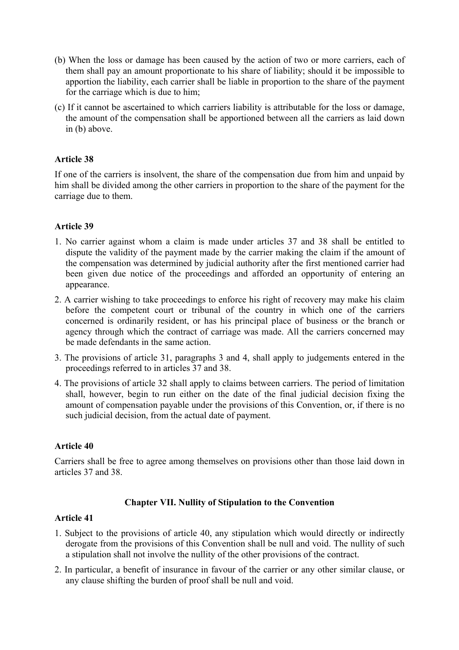- (b) When the loss or damage has been caused by the action of two or more carriers, each of them shall pay an amount proportionate to his share of liability; should it be impossible to apportion the liability, each carrier shall be liable in proportion to the share of the payment for the carriage which is due to him;
- (c) If it cannot be ascertained to which carriers liability is attributable for the loss or damage, the amount of the compensation shall be apportioned between all the carriers as laid down in (b) above.

If one of the carriers is insolvent, the share of the compensation due from him and unpaid by him shall be divided among the other carriers in proportion to the share of the payment for the carriage due to them.

### **Article 39**

- 1. No carrier against whom a claim is made under articles 37 and 38 shall be entitled to dispute the validity of the payment made by the carrier making the claim if the amount of the compensation was determined by judicial authority after the first mentioned carrier had been given due notice of the proceedings and afforded an opportunity of entering an appearance.
- 2. A carrier wishing to take proceedings to enforce his right of recovery may make his claim before the competent court or tribunal of the country in which one of the carriers concerned is ordinarily resident, or has his principal place of business or the branch or agency through which the contract of carriage was made. All the carriers concerned may be made defendants in the same action.
- 3. The provisions of article 31, paragraphs 3 and 4, shall apply to judgements entered in the proceedings referred to in articles 37 and 38.
- 4. The provisions of article 32 shall apply to claims between carriers. The period of limitation shall, however, begin to run either on the date of the final judicial decision fixing the amount of compensation payable under the provisions of this Convention, or, if there is no such judicial decision, from the actual date of payment.

# **Article 40**

Carriers shall be free to agree among themselves on provisions other than those laid down in articles 37 and 38.

# **Chapter VII. Nullity of Stipulation to the Convention**

- 1. Subject to the provisions of article 40, any stipulation which would directly or indirectly derogate from the provisions of this Convention shall be null and void. The nullity of such a stipulation shall not involve the nullity of the other provisions of the contract.
- 2. In particular, a benefit of insurance in favour of the carrier or any other similar clause, or any clause shifting the burden of proof shall be null and void.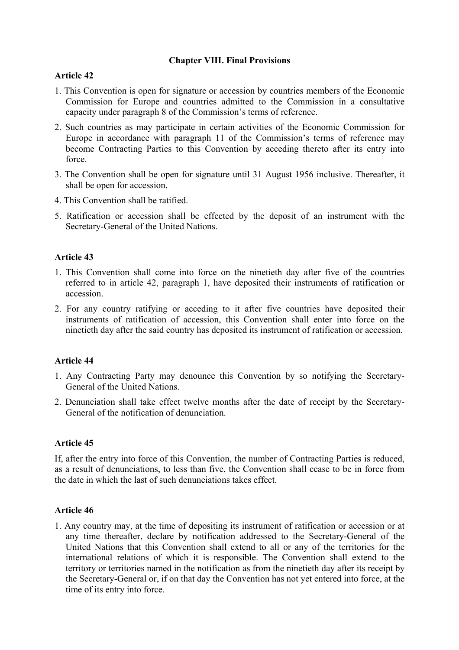### **Chapter VIII. Final Provisions**

# **Article 42**

- 1. This Convention is open for signature or accession by countries members of the Economic Commission for Europe and countries admitted to the Commission in a consultative capacity under paragraph 8 of the Commission's terms of reference.
- 2. Such countries as may participate in certain activities of the Economic Commission for Europe in accordance with paragraph 11 of the Commission's terms of reference may become Contracting Parties to this Convention by acceding thereto after its entry into force.
- 3. The Convention shall be open for signature until 31 August 1956 inclusive. Thereafter, it shall be open for accession.
- 4. This Convention shall be ratified.
- 5. Ratification or accession shall be effected by the deposit of an instrument with the Secretary-General of the United Nations.

# **Article 43**

- 1. This Convention shall come into force on the ninetieth day after five of the countries referred to in article 42, paragraph 1, have deposited their instruments of ratification or accession.
- 2. For any country ratifying or acceding to it after five countries have deposited their instruments of ratification of accession, this Convention shall enter into force on the ninetieth day after the said country has deposited its instrument of ratification or accession.

### **Article 44**

- 1. Any Contracting Party may denounce this Convention by so notifying the Secretary-General of the United Nations.
- 2. Denunciation shall take effect twelve months after the date of receipt by the Secretary-General of the notification of denunciation.

# **Article 45**

If, after the entry into force of this Convention, the number of Contracting Parties is reduced, as a result of denunciations, to less than five, the Convention shall cease to be in force from the date in which the last of such denunciations takes effect.

# **Article 46**

1. Any country may, at the time of depositing its instrument of ratification or accession or at any time thereafter, declare by notification addressed to the Secretary-General of the United Nations that this Convention shall extend to all or any of the territories for the international relations of which it is responsible. The Convention shall extend to the territory or territories named in the notification as from the ninetieth day after its receipt by the Secretary-General or, if on that day the Convention has not yet entered into force, at the time of its entry into force.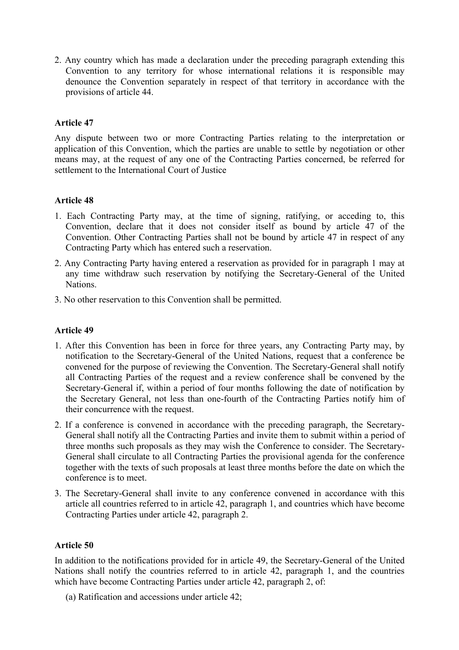2. Any country which has made a declaration under the preceding paragraph extending this Convention to any territory for whose international relations it is responsible may denounce the Convention separately in respect of that territory in accordance with the provisions of article 44.

# **Article 47**

Any dispute between two or more Contracting Parties relating to the interpretation or application of this Convention, which the parties are unable to settle by negotiation or other means may, at the request of any one of the Contracting Parties concerned, be referred for settlement to the International Court of Justice

# **Article 48**

- 1. Each Contracting Party may, at the time of signing, ratifying, or acceding to, this Convention, declare that it does not consider itself as bound by article 47 of the Convention. Other Contracting Parties shall not be bound by article 47 in respect of any Contracting Party which has entered such a reservation.
- 2. Any Contracting Party having entered a reservation as provided for in paragraph 1 may at any time withdraw such reservation by notifying the Secretary-General of the United **Nations**
- 3. No other reservation to this Convention shall be permitted.

# **Article 49**

- 1. After this Convention has been in force for three years, any Contracting Party may, by notification to the Secretary-General of the United Nations, request that a conference be convened for the purpose of reviewing the Convention. The Secretary-General shall notify all Contracting Parties of the request and a review conference shall be convened by the Secretary-General if, within a period of four months following the date of notification by the Secretary General, not less than one-fourth of the Contracting Parties notify him of their concurrence with the request.
- 2. If a conference is convened in accordance with the preceding paragraph, the Secretary-General shall notify all the Contracting Parties and invite them to submit within a period of three months such proposals as they may wish the Conference to consider. The Secretary-General shall circulate to all Contracting Parties the provisional agenda for the conference together with the texts of such proposals at least three months before the date on which the conference is to meet.
- 3. The Secretary-General shall invite to any conference convened in accordance with this article all countries referred to in article 42, paragraph 1, and countries which have become Contracting Parties under article 42, paragraph 2.

# **Article 50**

In addition to the notifications provided for in article 49, the Secretary-General of the United Nations shall notify the countries referred to in article 42, paragraph 1, and the countries which have become Contracting Parties under article 42, paragraph 2, of:

(a) Ratification and accessions under article 42;